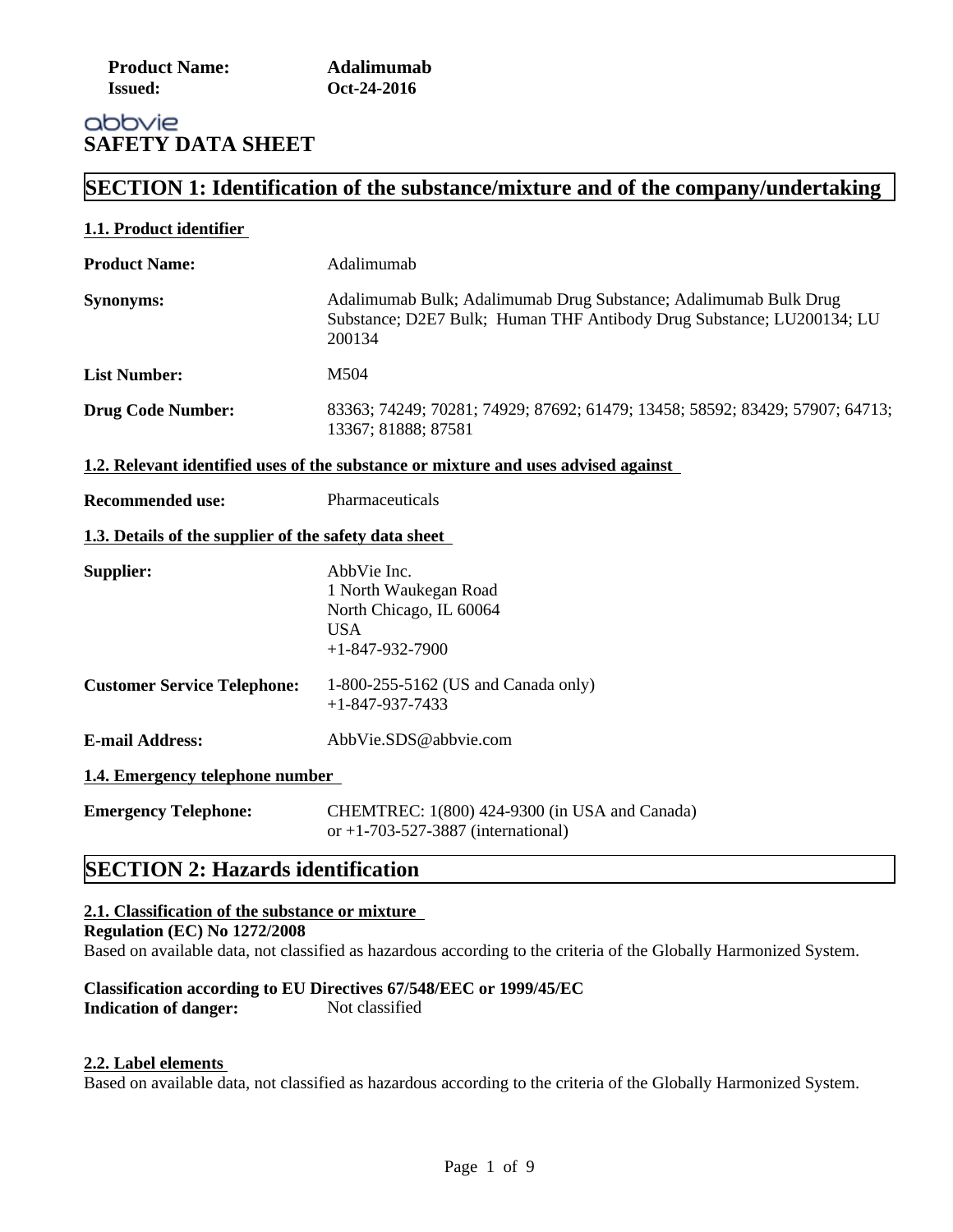| <b>Product Name:</b> | Adalimumab  |
|----------------------|-------------|
| <b>Issued:</b>       | Oct-24-2016 |

# abbvie **SAFETY DATA SHEET**

# **SECTION 1: Identification of the substance/mixture and of the company/undertaking**

| Adalimumab                                                                                                                                          |
|-----------------------------------------------------------------------------------------------------------------------------------------------------|
| Adalimumab Bulk; Adalimumab Drug Substance; Adalimumab Bulk Drug<br>Substance; D2E7 Bulk; Human THF Antibody Drug Substance; LU200134; LU<br>200134 |
| M504                                                                                                                                                |
| 83363; 74249; 70281; 74929; 87692; 61479; 13458; 58592; 83429; 57907; 64713;<br>13367; 81888; 87581                                                 |
| 1.2. Relevant identified uses of the substance or mixture and uses advised against                                                                  |
| Pharmaceuticals                                                                                                                                     |
| 1.3. Details of the supplier of the safety data sheet                                                                                               |
| AbbVie Inc.<br>1 North Waukegan Road<br>North Chicago, IL 60064<br><b>USA</b><br>$+1 - 847 - 932 - 7900$                                            |
| 1-800-255-5162 (US and Canada only)<br>$+1 - 847 - 937 - 7433$                                                                                      |
| AbbVie.SDS@abbvie.com                                                                                                                               |
| 1.4. Emergency telephone number                                                                                                                     |
| CHEMTREC: 1(800) 424-9300 (in USA and Canada)<br>or +1-703-527-3887 (international)                                                                 |
|                                                                                                                                                     |

# **SECTION 2: Hazards identification**

# **2.1. Classification of the substance or mixture**

#### **Regulation (EC) No 1272/2008**

Based on available data, not classified as hazardous according to the criteria of the Globally Harmonized System.

### **Classification according to EU Directives 67/548/EEC or 1999/45/EC Indication of danger:** Not classified

#### **2.2. Label elements**

Based on available data, not classified as hazardous according to the criteria of the Globally Harmonized System.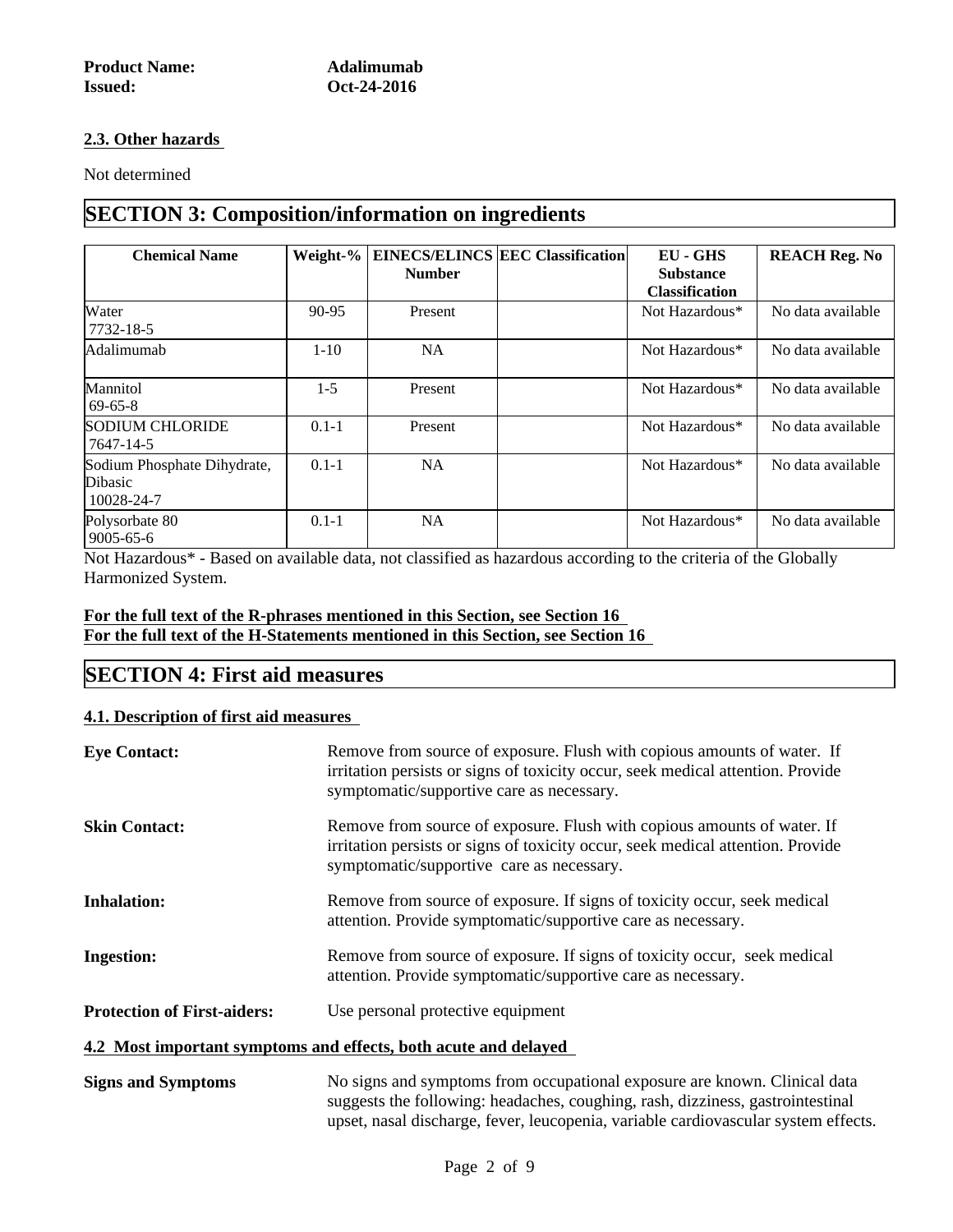#### **2.3. Other hazards**

Not determined

# **SECTION 3: Composition/information on ingredients**

| <b>Chemical Name</b>                                 |           | <b>Number</b> | Weight-%   EINECS/ELINCS   EEC Classification | <b>EU - GHS</b><br><b>Substance</b><br><b>Classification</b> | <b>REACH Reg. No</b> |
|------------------------------------------------------|-----------|---------------|-----------------------------------------------|--------------------------------------------------------------|----------------------|
| Water<br>$7732 - 18 - 5$                             | 90-95     | Present       |                                               | Not Hazardous*                                               | No data available    |
| Adalimumab                                           | $1 - 10$  | NA            |                                               | Not Hazardous*                                               | No data available    |
| Mannitol<br>$69 - 65 - 8$                            | $1-5$     | Present       |                                               | Not Hazardous*                                               | No data available    |
| <b>SODIUM CHLORIDE</b><br>7647-14-5                  | $0.1 - 1$ | Present       |                                               | Not Hazardous*                                               | No data available    |
| Sodium Phosphate Dihydrate,<br>Dibasic<br>10028-24-7 | $0.1 - 1$ | NA            |                                               | Not Hazardous*                                               | No data available    |
| Polysorbate 80<br>$9005 - 65 - 6$                    | $0.1 - 1$ | NA            |                                               | Not Hazardous*                                               | No data available    |

Not Hazardous\* - Based on available data, not classified as hazardous according to the criteria of the Globally Harmonized System.

### **For the full text of the R-phrases mentioned in this Section, see Section 16 For the full text of the H-Statements mentioned in this Section, see Section 16**

# **SECTION 4: First aid measures**

### **4.1. Description of first aid measures**

| <b>Eye Contact:</b>                | Remove from source of exposure. Flush with copious amounts of water. If<br>irritation persists or signs of toxicity occur, seek medical attention. Provide<br>symptomatic/supportive care as necessary.                                           |
|------------------------------------|---------------------------------------------------------------------------------------------------------------------------------------------------------------------------------------------------------------------------------------------------|
| <b>Skin Contact:</b>               | Remove from source of exposure. Flush with copious amounts of water. If<br>irritation persists or signs of toxicity occur, seek medical attention. Provide<br>symptomatic/supportive care as necessary.                                           |
| <b>Inhalation:</b>                 | Remove from source of exposure. If signs of toxicity occur, seek medical<br>attention. Provide symptomatic/supportive care as necessary.                                                                                                          |
| <b>Ingestion:</b>                  | Remove from source of exposure. If signs of toxicity occur, seek medical<br>attention. Provide symptomatic/supportive care as necessary.                                                                                                          |
| <b>Protection of First-aiders:</b> | Use personal protective equipment                                                                                                                                                                                                                 |
|                                    | 4.2 Most important symptoms and effects, both acute and delayed                                                                                                                                                                                   |
| <b>Signs and Symptoms</b>          | No signs and symptoms from occupational exposure are known. Clinical data<br>suggests the following: headaches, coughing, rash, dizziness, gastrointestinal<br>upset, nasal discharge, fever, leucopenia, variable cardiovascular system effects. |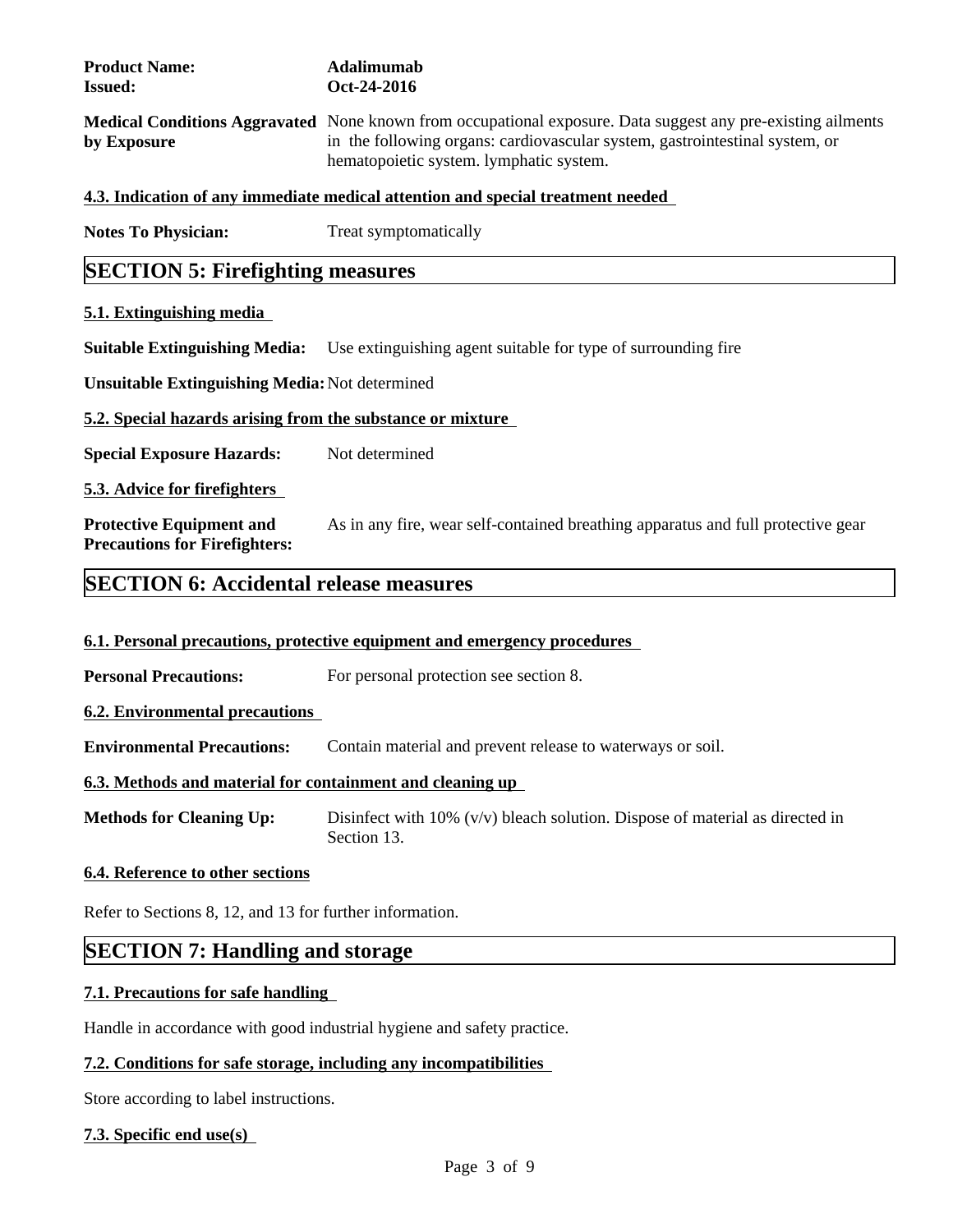| <b>Product Name:</b><br><b>Issued:</b>                                  | <b>Adalimumab</b><br>Oct-24-2016                                                                                                                                                                                                      |  |  |  |  |
|-------------------------------------------------------------------------|---------------------------------------------------------------------------------------------------------------------------------------------------------------------------------------------------------------------------------------|--|--|--|--|
| by Exposure                                                             | Medical Conditions Aggravated None known from occupational exposure. Data suggest any pre-existing ailments<br>in the following organs: cardiovascular system, gastrointestinal system, or<br>hematopoietic system. lymphatic system. |  |  |  |  |
|                                                                         | 4.3. Indication of any immediate medical attention and special treatment needed                                                                                                                                                       |  |  |  |  |
| <b>Notes To Physician:</b>                                              | Treat symptomatically                                                                                                                                                                                                                 |  |  |  |  |
| <b>SECTION 5: Firefighting measures</b>                                 |                                                                                                                                                                                                                                       |  |  |  |  |
| 5.1. Extinguishing media                                                |                                                                                                                                                                                                                                       |  |  |  |  |
| <b>Suitable Extinguishing Media:</b>                                    | Use extinguishing agent suitable for type of surrounding fire                                                                                                                                                                         |  |  |  |  |
| <b>Unsuitable Extinguishing Media: Not determined</b>                   |                                                                                                                                                                                                                                       |  |  |  |  |
| 5.2. Special hazards arising from the substance or mixture              |                                                                                                                                                                                                                                       |  |  |  |  |
| <b>Special Exposure Hazards:</b>                                        | Not determined                                                                                                                                                                                                                        |  |  |  |  |
| <b>5.3. Advice for firefighters</b>                                     |                                                                                                                                                                                                                                       |  |  |  |  |
| <b>Protective Equipment and</b><br><b>Precautions for Firefighters:</b> | As in any fire, wear self-contained breathing apparatus and full protective gear                                                                                                                                                      |  |  |  |  |
| <b>SECTION 6: Accidental release measures</b>                           |                                                                                                                                                                                                                                       |  |  |  |  |
|                                                                         | 6.1. Personal precautions, protective equipment and emergency procedures                                                                                                                                                              |  |  |  |  |
|                                                                         |                                                                                                                                                                                                                                       |  |  |  |  |
| <b>Personal Precautions:</b>                                            | For personal protection see section 8.                                                                                                                                                                                                |  |  |  |  |
| <b>6.2. Environmental precautions</b>                                   |                                                                                                                                                                                                                                       |  |  |  |  |
| <b>Environmental Precautions:</b>                                       | Contain material and prevent release to waterways or soil.                                                                                                                                                                            |  |  |  |  |
| 6.3. Methods and material for containment and cleaning up               |                                                                                                                                                                                                                                       |  |  |  |  |
|                                                                         |                                                                                                                                                                                                                                       |  |  |  |  |

**Methods for Cleaning Up:** Disinfect with 10% (v/v) bleach solution. Dispose of material as directed in Section 13.

### **6.4. Reference to other sections**

Refer to Sections 8, 12, and 13 for further information.

# **SECTION 7: Handling and storage**

# **7.1. Precautions for safe handling**

Handle in accordance with good industrial hygiene and safety practice.

# **7.2. Conditions for safe storage, including any incompatibilities**

Store according to label instructions.

### **7.3. Specific end use(s)**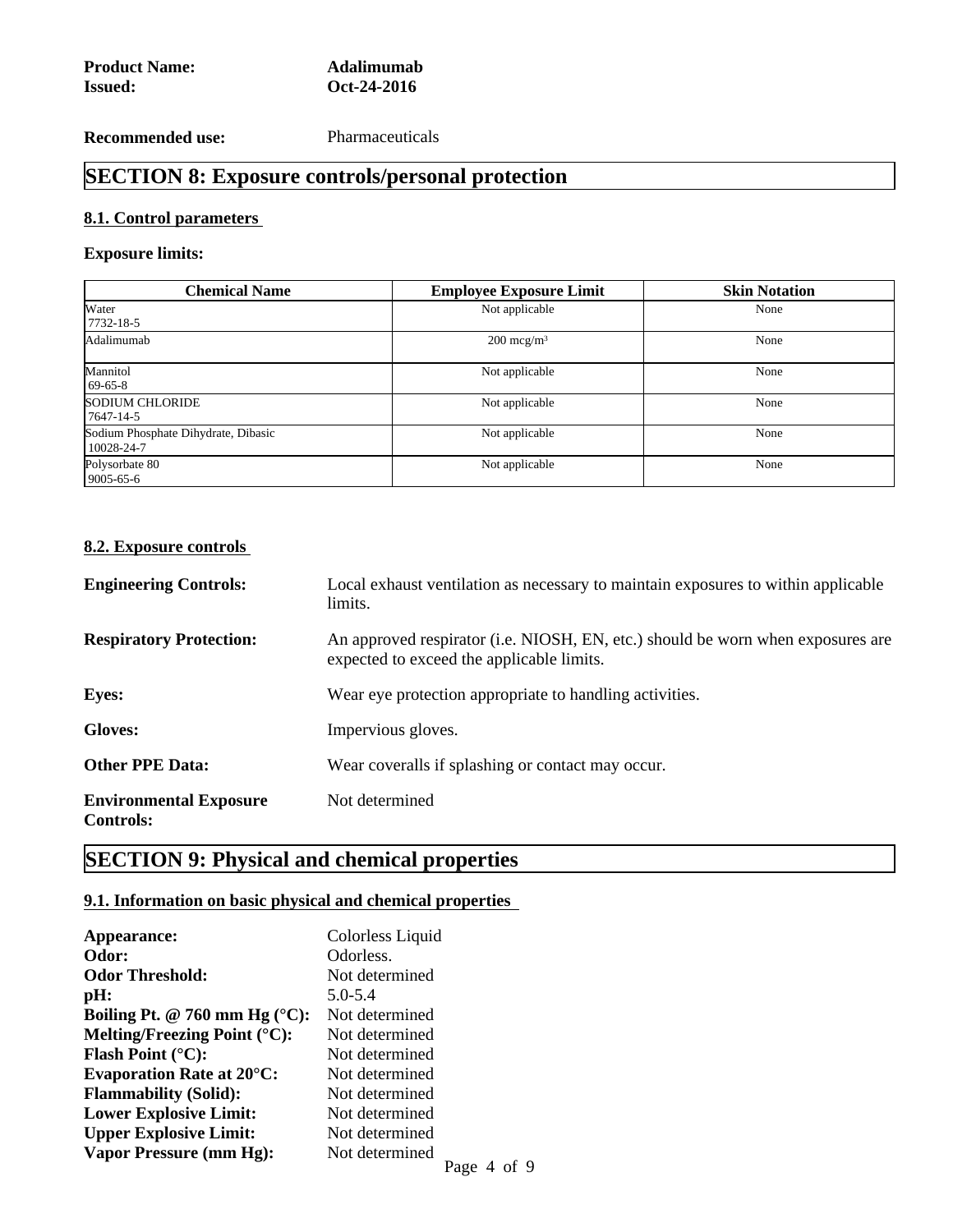**Recommended use:** Pharmaceuticals

# **SECTION 8: Exposure controls/personal protection**

# **8.1. Control parameters**

# **Exposure limits:**

| <b>Chemical Name</b>                              | <b>Employee Exposure Limit</b> | <b>Skin Notation</b> |
|---------------------------------------------------|--------------------------------|----------------------|
| Water<br>$7732 - 18 - 5$                          | Not applicable                 | None                 |
| Adalimumab<br>$200 \text{~mcg/m}^3$               |                                | None                 |
| Mannitol<br>$69-65-8$                             | Not applicable                 | None                 |
| <b>SODIUM CHLORIDE</b><br>$17647 - 14 - 5$        | Not applicable                 |                      |
| Sodium Phosphate Dihydrate, Dibasic<br>10028-24-7 | Not applicable                 | None                 |
| Polysorbate 80<br>$9005 - 65 - 6$                 | Not applicable                 | None                 |

#### **8.2. Exposure controls**

| <b>Engineering Controls:</b>                      | Local exhaust ventilation as necessary to maintain exposures to within applicable<br>limits.                                 |
|---------------------------------------------------|------------------------------------------------------------------------------------------------------------------------------|
| <b>Respiratory Protection:</b>                    | An approved respirator (i.e. NIOSH, EN, etc.) should be worn when exposures are<br>expected to exceed the applicable limits. |
| <b>Eyes:</b>                                      | Wear eye protection appropriate to handling activities.                                                                      |
| <b>Gloves:</b>                                    | Impervious gloves.                                                                                                           |
| <b>Other PPE Data:</b>                            | Wear coveralls if splashing or contact may occur.                                                                            |
| <b>Environmental Exposure</b><br><b>Controls:</b> | Not determined                                                                                                               |

# **SECTION 9: Physical and chemical properties**

# **9.1. Information on basic physical and chemical properties**

| Appearance:                              | Colorless Liquid |
|------------------------------------------|------------------|
| Odor:                                    | Odorless.        |
| <b>Odor Threshold:</b>                   | Not determined   |
| pH:                                      | $5.0 - 5.4$      |
| Boiling Pt. @ 760 mm Hg $(°C)$ :         | Not determined   |
| Melting/Freezing Point $({}^{\circ}C)$ : | Not determined   |
| <b>Flash Point</b> $(^{\circ}C)$ :       | Not determined   |
| <b>Evaporation Rate at 20°C:</b>         | Not determined   |
| <b>Flammability (Solid):</b>             | Not determined   |
| <b>Lower Explosive Limit:</b>            | Not determined   |
| <b>Upper Explosive Limit:</b>            | Not determined   |
| Vapor Pressure (mm Hg):                  | Not determined   |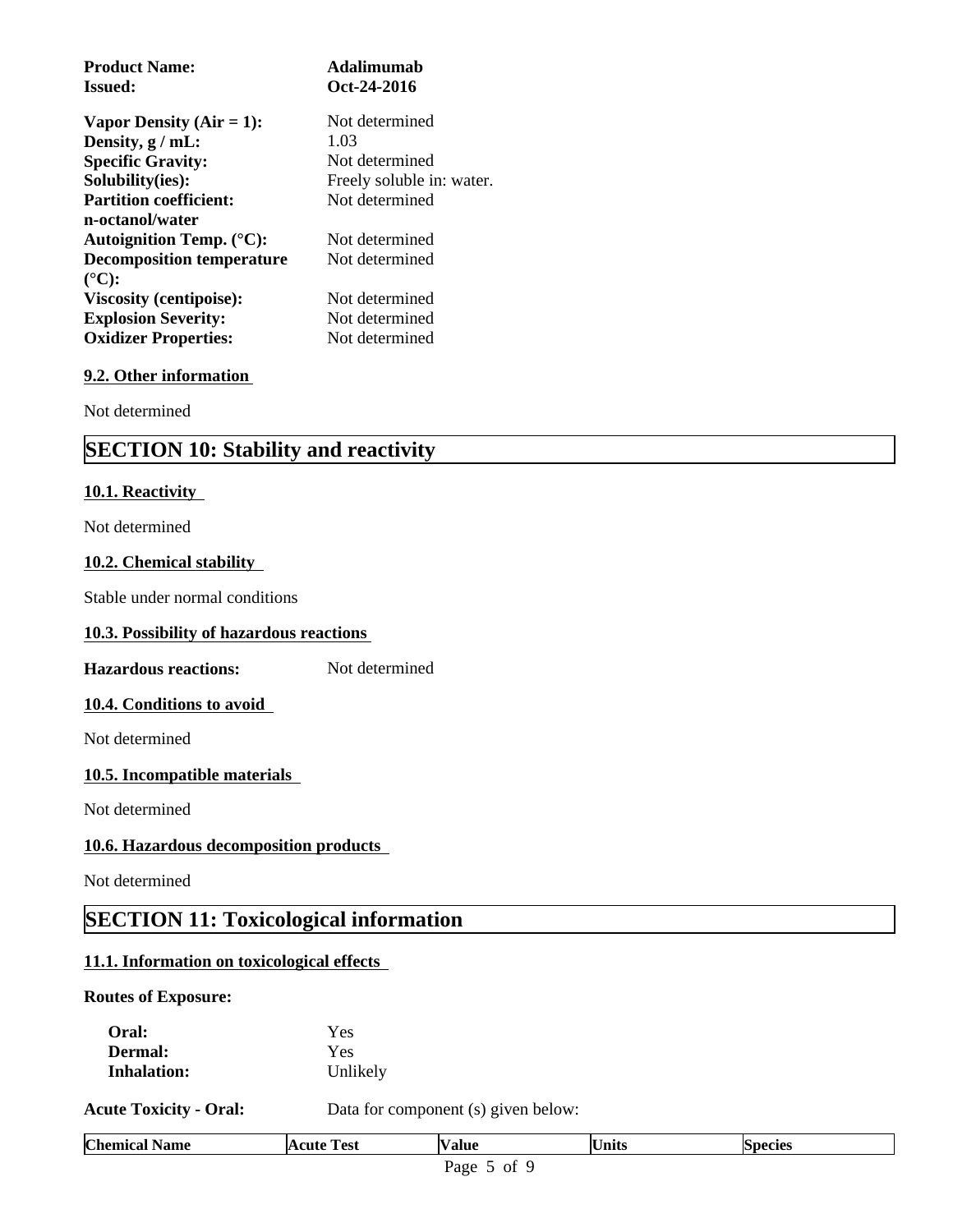| <b>Product Name:</b>               | Adalimumab                |
|------------------------------------|---------------------------|
| <b>Issued:</b>                     | Oct-24-2016               |
| Vapor Density $(Air = 1)$ :        | Not determined            |
| Density, $g$ / mL:                 | 1.03                      |
| <b>Specific Gravity:</b>           | Not determined            |
| Solubility(ies):                   | Freely soluble in: water. |
| <b>Partition coefficient:</b>      | Not determined            |
| n-octanol/water                    |                           |
| Autoignition Temp. $(^{\circ}C)$ : | Not determined            |
| <b>Decomposition temperature</b>   | Not determined            |
| $({}^{\circ}C):$                   |                           |
| <b>Viscosity (centipoise):</b>     | Not determined            |
| <b>Explosion Severity:</b>         | Not determined            |
| <b>Oxidizer Properties:</b>        | Not determined            |

#### **9.2. Other information**

Not determined

# **SECTION 10: Stability and reactivity**

#### **10.1. Reactivity**

Not determined

#### **10.2. Chemical stability**

Stable under normal conditions

#### **10.3. Possibility of hazardous reactions**

**Hazardous reactions:** Not determined

#### **10.4. Conditions to avoid**

Not determined

#### **10.5. Incompatible materials**

Not determined

#### **10.6. Hazardous decomposition products**

Not determined

# **SECTION 11: Toxicological information**

# **11.1. Information on toxicological effects**

### **Routes of Exposure:**

| <b>Chemical Name</b>          | <b>Acute Test</b> | <b>Value</b>                        | <b>Units</b> | <b>Species</b> |  |
|-------------------------------|-------------------|-------------------------------------|--------------|----------------|--|
| <b>Acute Toxicity - Oral:</b> |                   | Data for component (s) given below: |              |                |  |
| <b>Inhalation:</b>            | Unlikely          |                                     |              |                |  |
| <b>Dermal:</b>                | Yes               |                                     |              |                |  |
| Oral:                         | Yes               |                                     |              |                |  |
|                               |                   |                                     |              |                |  |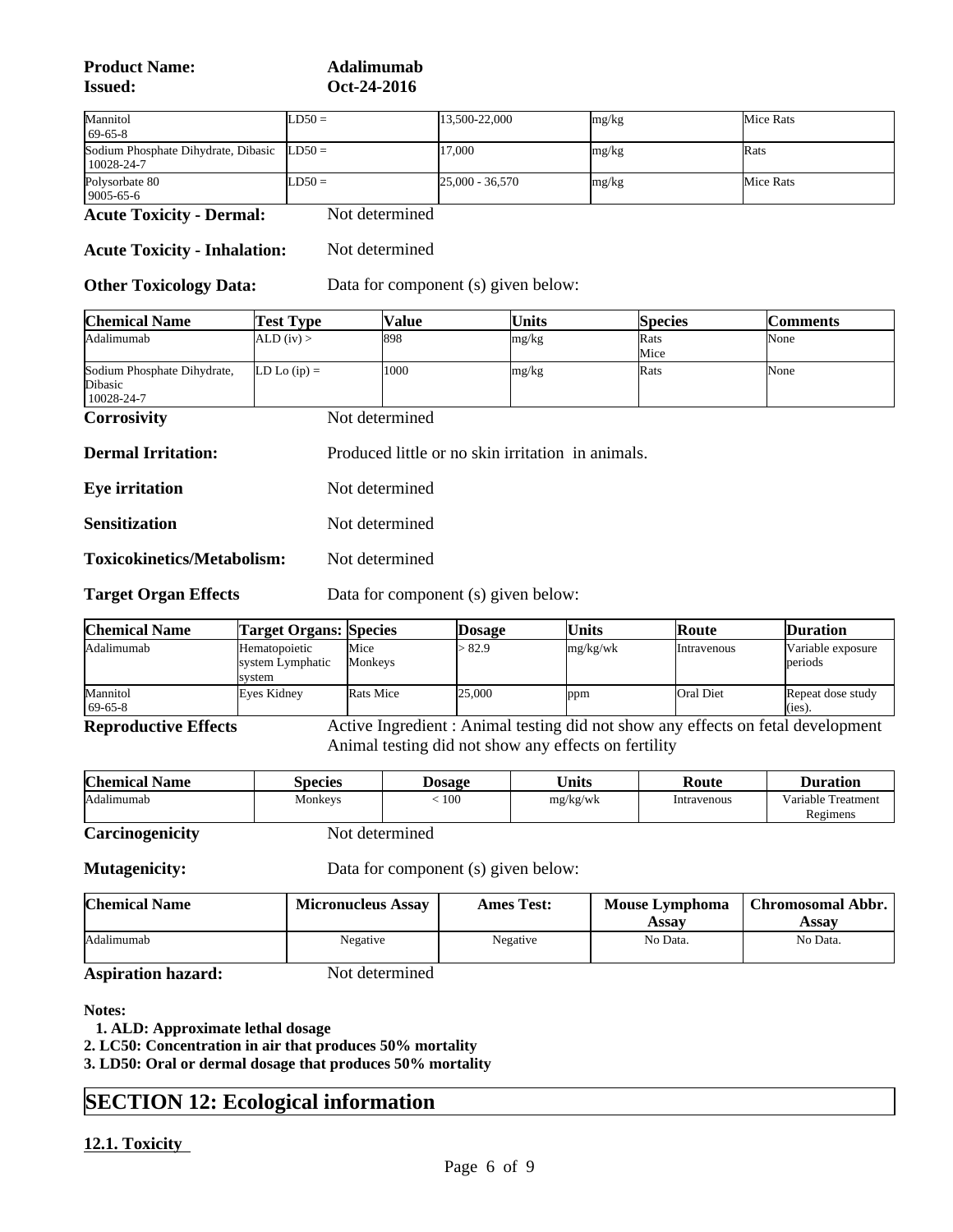**Product Name: Adalimumab Issued: Oct-24-2016**

| Mannitol                                                         | $LD50 =$ | 13.500-22.000     | mg/kg | Mice Rats |
|------------------------------------------------------------------|----------|-------------------|-------|-----------|
| $69-65-8$                                                        |          |                   |       |           |
| Sodium Phosphate Dihydrate, Dibasic $LD50 =$<br>$10028 - 24 - 7$ |          | 17,000            | mg/kg | Rats      |
| Polysorbate 80<br>$9005 - 65 - 6$                                | $LD50 =$ | $25,000 - 36,570$ | mg/kg | Mice Rats |

**Acute Toxicity - Dermal:** Not determined

**Acute Toxicity - Inhalation:** Not determined

**Other Toxicology Data:** Data for component (s) given below:

| Chemical Name               | 'Test Type       | Value | Units | <b>Species</b> | <b>Comments</b> |
|-----------------------------|------------------|-------|-------|----------------|-----------------|
| Adalimumab                  | ALD (iv)         | 898   | mg/kg | Rats           | None            |
|                             |                  |       |       | Mice           |                 |
| Sodium Phosphate Dihydrate, | $LD$ Lo $(ip) =$ | 1000  | mg/kg | Rats           | None            |
| Dibasic                     |                  |       |       |                |                 |
| $10028 - 24 - 7$            |                  |       |       |                |                 |

**Corrosivity** Not determined

| <b>Dermal Irritation:</b> | Produced little or no skin irritation in animals. |  |
|---------------------------|---------------------------------------------------|--|
|---------------------------|---------------------------------------------------|--|

**Eye irritation** Not determined

**Sensitization** Not determined

**Toxicokinetics/Metabolism:** Not determined

**Target Organ Effects** Data for component (s) given below:

| Chemical Name         | <b>Target Organs: Species</b>                       |                  | <b>Dosage</b> | <b>Units</b> | Route       | <b>Duration</b>                |  |
|-----------------------|-----------------------------------------------------|------------------|---------------|--------------|-------------|--------------------------------|--|
| Adalimumab            | <b>H</b> ematopoietic<br>system Lymphatic<br>svstem | Mice<br>Monkeys  | > 82.9        | mg/kg/wk     | Intravenous | Variable exposure<br>periods   |  |
| Mannitol<br>$69-65-8$ | Eves Kidney                                         | <b>Rats Mice</b> | 25,000        | ppm          | Oral Diet   | Repeat dose study<br>$(1es)$ . |  |

**Reproductive Effects** Active Ingredient : Animal testing did not show any effects on fetal development Animal testing did not show any effects on fertility

| Variable Treatment<br>100<br><b>Adalimumab</b><br>Monkeys<br>mg/kg/wk<br>Intravenous<br>Regimens | <b>Chemical</b><br>' Name | Species | <b>Dosage</b> | <b><i><u>Units</u></i></b> | Route | Duration |
|--------------------------------------------------------------------------------------------------|---------------------------|---------|---------------|----------------------------|-------|----------|
|                                                                                                  |                           |         |               |                            |       |          |

**Carcinogenicity** Not determined

**Mutagenicity:** Data for component (s) given below:

| <b>Chemical Name</b> | <b>Micronucleus Assay</b> | <b>Ames Test:</b> | <b>Mouse Lymphoma</b><br><b>Assay</b> | <b>Chromosomal Abbr.</b><br>Assav |
|----------------------|---------------------------|-------------------|---------------------------------------|-----------------------------------|
| Adalimumab           | Negative                  | Negative          | No Data.                              | No Data.                          |

**Aspiration hazard:** Not determined

**Notes:**

 **1. ALD: Approximate lethal dosage**

**2. LC50: Concentration in air that produces 50% mortality**

**3. LD50: Oral or dermal dosage that produces 50% mortality**

# **SECTION 12: Ecological information**

### **12.1. Toxicity**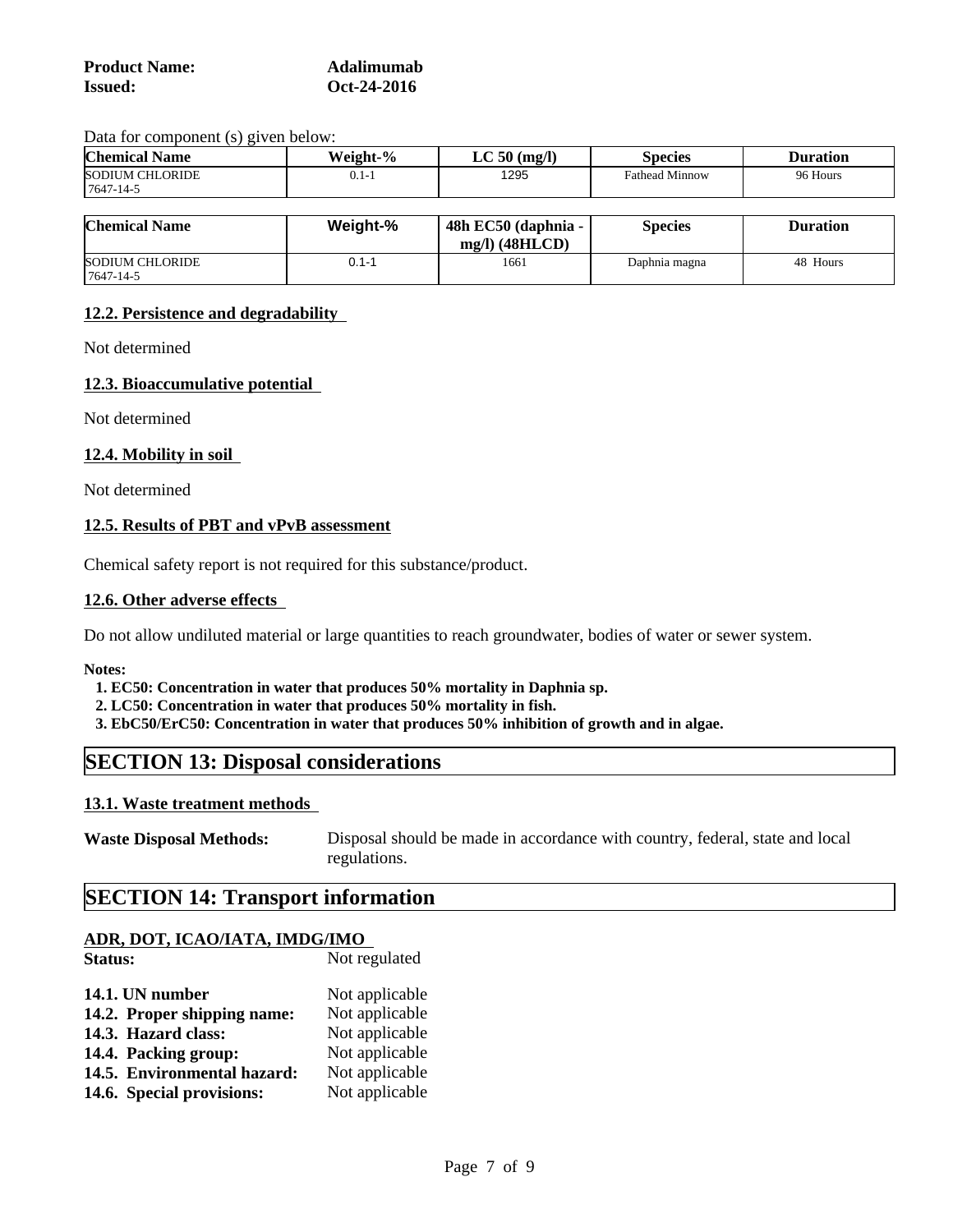| <b>Product Name:</b> | Adalimumab  |
|----------------------|-------------|
| <b>Issued:</b>       | Oct-24-2016 |

Data for component (s) given below:

| <b>Chemical Name</b>                      | Weight-%        | $LC 50$ (mg/l)                                                                                | <b>Species</b>        | <b>Duration</b>           |
|-------------------------------------------|-----------------|-----------------------------------------------------------------------------------------------|-----------------------|---------------------------|
| <b>SODIUM CHLORIDE</b><br>$7647 - 14 - 5$ | $0.1 -$         | 1295                                                                                          | <b>Fathead Minnow</b> | 96 Hours                  |
|                                           |                 |                                                                                               |                       |                           |
| $\overline{a}$                            | $M = 2 - 1 + 0$ | $A$ $\Omega$ $\Gamma$ $\Omega$ $\Gamma$ $\Omega$ $\Gamma$ $\Omega$ $\Gamma$ $\Gamma$ $\Gamma$ | $\sim$ $\sim$         | $\mathbf{r}$ $\mathbf{r}$ |

| <b>Chemical Name</b>                      | Weight-% | $48h$ EC50 (daphnia -<br>$mg/l)$ (48HLCD) | Species       | <b>Duration</b> |  |
|-------------------------------------------|----------|-------------------------------------------|---------------|-----------------|--|
| <b>SODIUM CHLORIDE</b><br>$7647 - 14 - 5$ | . .      | 1661                                      | Daphnia magna | 48 Hours        |  |

#### **12.2. Persistence and degradability**

Not determined

#### **12.3. Bioaccumulative potential**

Not determined

#### **12.4. Mobility in soil**

Not determined

#### **12.5. Results of PBT and vPvB assessment**

Chemical safety report is not required for this substance/product.

#### **12.6. Other adverse effects**

Do not allow undiluted material or large quantities to reach groundwater, bodies of water or sewer system.

**Notes:**

 **1. EC50: Concentration in water that produces 50% mortality in Daphnia sp.**

- **2. LC50: Concentration in water that produces 50% mortality in fish.**
- **3. EbC50/ErC50: Concentration in water that produces 50% inhibition of growth and in algae.**

# **SECTION 13: Disposal considerations**

#### **13.1. Waste treatment methods**

| <b>Waste Disposal Methods:</b> | Disposal should be made in accordance with country, federal, state and local |
|--------------------------------|------------------------------------------------------------------------------|
|                                | regulations.                                                                 |

# **SECTION 14: Transport information**

### **ADR, DOT, ICAO/IATA, IMDG/IMO**

| Status:                     | Not regulated  |
|-----------------------------|----------------|
| 14.1. UN number             | Not applicable |
| 14.2. Proper shipping name: | Not applicable |
| 14.3. Hazard class:         | Not applicable |
| 14.4. Packing group:        | Not applicable |
| 14.5. Environmental hazard: | Not applicable |
| 14.6. Special provisions:   | Not applicable |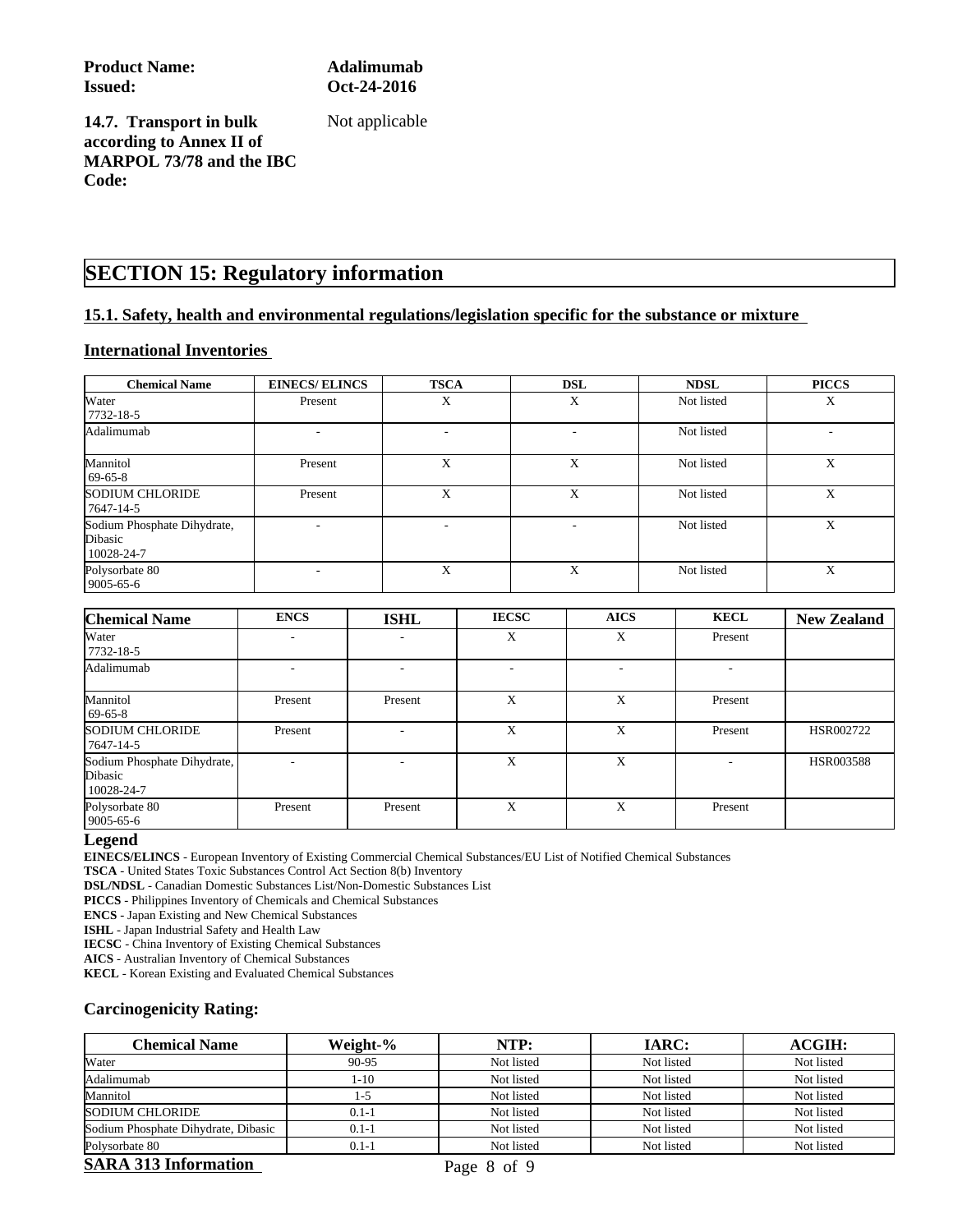**Product Name: Adalimumab Issued: Oct-24-2016**

Not applicable

**14.7. Transport in bulk according to Annex II of MARPOL 73/78 and the IBC Code:**

# **SECTION 15: Regulatory information**

#### **15.1. Safety, health and environmental regulations/legislation specific for the substance or mixture**

#### **International Inventories**

| <b>Chemical Name</b>                                 | <b>EINECS/ELINCS</b> | <b>TSCA</b> | <b>DSL</b> | <b>NDSL</b> | <b>PICCS</b> |
|------------------------------------------------------|----------------------|-------------|------------|-------------|--------------|
| Water<br>7732-18-5                                   | Present              | Х           | X          | Not listed  | Χ            |
| Adalimumab                                           |                      | ۰           |            | Not listed  |              |
| Mannitol<br>$69-65-8$                                | Present              | X           | X          | Not listed  | X            |
| <b>SODIUM CHLORIDE</b><br>7647-14-5                  | Present              | X           | X          | Not listed  | X            |
| Sodium Phosphate Dihydrate,<br>Dibasic<br>10028-24-7 |                      |             |            | Not listed  | X            |
| Polysorbate 80<br>9005-65-6                          |                      | X           | X          | Not listed  | X            |

| <b>Chemical Name</b>                                 | <b>ENCS</b>              | <b>ISHL</b>              | <b>IECSC</b> | <b>AICS</b>              | <b>KECL</b> | <b>New Zealand</b> |
|------------------------------------------------------|--------------------------|--------------------------|--------------|--------------------------|-------------|--------------------|
| Water<br>7732-18-5                                   |                          | $\overline{\phantom{a}}$ | X            | X                        | Present     |                    |
| Adalimumab                                           |                          |                          | ۰            | $\overline{\phantom{a}}$ | ۰           |                    |
| Mannitol<br>$69-65-8$                                | Present                  | Present                  | X            | X                        | Present     |                    |
| <b>SODIUM CHLORIDE</b><br>7647-14-5                  | Present                  | ۰                        | X            | X                        | Present     | HSR002722          |
| Sodium Phosphate Dihydrate,<br>Dibasic<br>10028-24-7 | $\overline{\phantom{a}}$ |                          | X            | X                        | ۰           | HSR003588          |
| Polysorbate 80<br>$9005 - 65 - 6$                    | Present                  | Present                  | X            | X                        | Present     |                    |

#### **Legend**

**EINECS/ELINCS** - European Inventory of Existing Commercial Chemical Substances/EU List of Notified Chemical Substances

**TSCA** - United States Toxic Substances Control Act Section 8(b) Inventory

**DSL/NDSL** - Canadian Domestic Substances List/Non-Domestic Substances List

**PICCS** - Philippines Inventory of Chemicals and Chemical Substances

**ENCS** - Japan Existing and New Chemical Substances

**ISHL** - Japan Industrial Safety and Health Law

**IECSC** - China Inventory of Existing Chemical Substances

**AICS** - Australian Inventory of Chemical Substances

**KECL** - Korean Existing and Evaluated Chemical Substances

#### **Carcinogenicity Rating:**

| <b>Chemical Name</b>                | Weight-%  | NTP:       | <b>IARC:</b> | ACGIH:     |
|-------------------------------------|-----------|------------|--------------|------------|
| Water                               | 90-95     | Not listed | Not listed   | Not listed |
| Adalimumab                          | 1-10      | Not listed | Not listed   | Not listed |
| Mannitol                            | l -5      | Not listed | Not listed   | Not listed |
| <b>SODIUM CHLORIDE</b>              | $0.1 - 1$ | Not listed | Not listed   | Not listed |
| Sodium Phosphate Dihydrate, Dibasic | $0.1 - 1$ | Not listed | Not listed   | Not listed |
| Polysorbate 80                      | $0.1 - 1$ | Not listed | Not listed   | Not listed |

#### **SARA 313 Information** Page 8 of 9